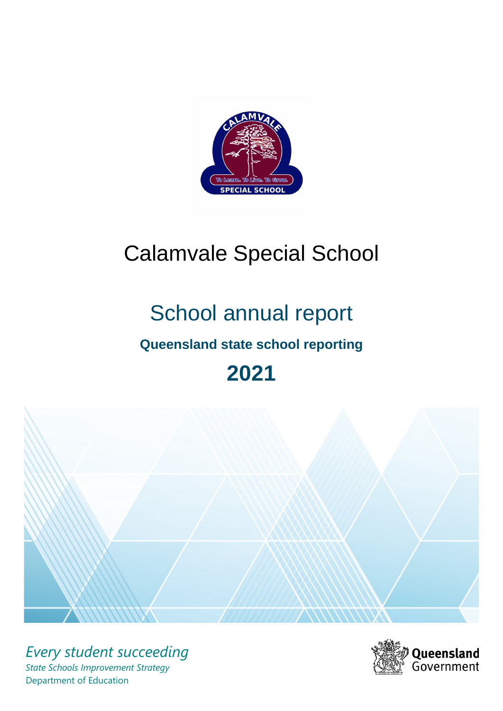

# Calamvale Special School

# School annual report

# **Queensland state school reporting**

# **2021**



*Every student succeeding State Schools Improvement Strategy* Department of Education

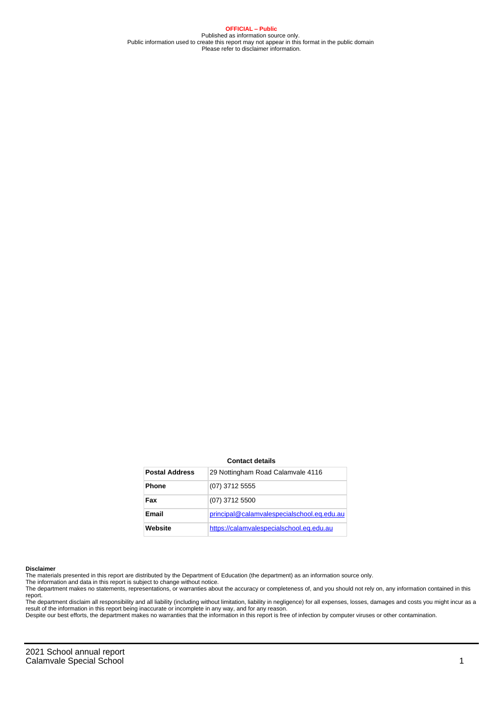**OFFICIAL – Public** Published as information source only. Public information used to create this report may not appear in this format in the public domain Please refer to disclaimer information.

#### **Contact details**

| <b>Postal Address</b> | 29 Nottingham Road Calamvale 4116          |
|-----------------------|--------------------------------------------|
| <b>Phone</b>          | (07) 3712 5555                             |
| Fax                   | (07) 3712 5500                             |
| Email                 | principal@calamvalespecialschool.eq.edu.au |
| Website               | https://calamvalespecialschool.eq.edu.au   |

#### **Disclaimer**

The materials presented in this report are distributed by the Department of Education (the department) as an information source only.

The information and data in this report is subject to change without notice.<br>The department makes no statements, representations, or warranties about the accuracy or completeness of, and you should not rely on, any informa report.

The department disclaim all responsibility and all liability (including without limitation, liability in negligence) for all expenses, losses, damages and costs you might incur as a result of the information in this report being inaccurate or incomplete in any way, and for any reason. Despite our best efforts, the department makes no warranties that the information in this report is free of infection by computer viruses or other contamination.

2021 School annual report Calamvale Special School 1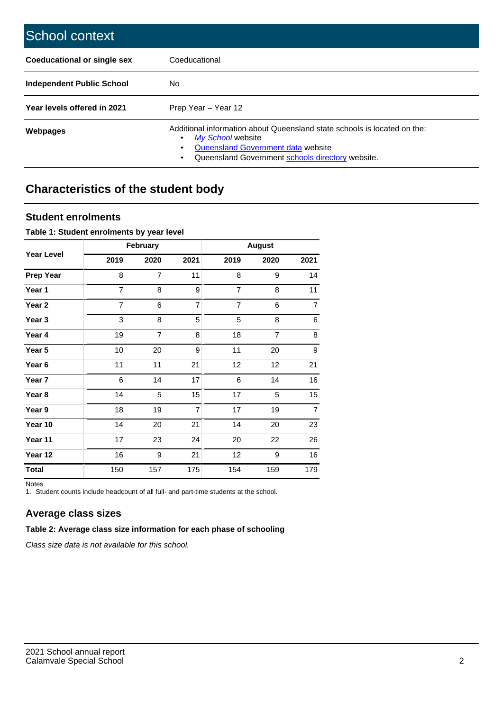| School context                   |                                                                                                                                                                                         |
|----------------------------------|-----------------------------------------------------------------------------------------------------------------------------------------------------------------------------------------|
| Coeducational or single sex      | Coeducational                                                                                                                                                                           |
| <b>Independent Public School</b> | No.                                                                                                                                                                                     |
| Year levels offered in 2021      | Prep Year - Year 12                                                                                                                                                                     |
| Webpages                         | Additional information about Queensland state schools is located on the:<br>My School website<br>Queensland Government data website<br>Queensland Government schools directory website. |

# **Characteristics of the student body**

#### **Student enrolments**

#### **Table 1: Student enrolments by year level**

|                   |                | February       |                |                | <b>August</b> |                  |
|-------------------|----------------|----------------|----------------|----------------|---------------|------------------|
| <b>Year Level</b> | 2019           | 2020           | 2021           | 2019           | 2020          | 2021             |
| <b>Prep Year</b>  | 8              | $\overline{7}$ | 11             | 8              | 9             | 14               |
| Year 1            | $\overline{7}$ | 8              | 9              | $\overline{7}$ | 8             | 11               |
| Year 2            | $\overline{7}$ | 6              | $\overline{7}$ | $\overline{7}$ | 6             | $\overline{7}$   |
| Year 3            | 3              | 8              | 5              | 5              | 8             | $\,6$            |
| Year 4            | 19             | 7              | 8              | 18             | 7             | 8                |
| Year 5            | 10             | 20             | 9              | 11             | 20            | $\boldsymbol{9}$ |
| Year 6            | 11             | 11             | 21             | 12             | 12            | 21               |
| Year 7            | 6              | 14             | 17             | 6              | 14            | 16               |
| Year 8            | 14             | 5              | 15             | 17             | 5             | 15               |
| Year 9            | 18             | 19             | $\overline{7}$ | 17             | 19            | $\overline{7}$   |
| Year 10           | 14             | 20             | 21             | 14             | 20            | 23               |
| Year 11           | 17             | 23             | 24             | 20             | 22            | 26               |
| Year 12           | 16             | 9              | 21             | 12             | 9             | 16               |
| <b>Total</b>      | 150            | 157            | 175            | 154            | 159           | 179              |

Notes

1. Student counts include headcount of all full- and part-time students at the school.

### **Average class sizes**

#### **Table 2: Average class size information for each phase of schooling**

Class size data is not available for this school.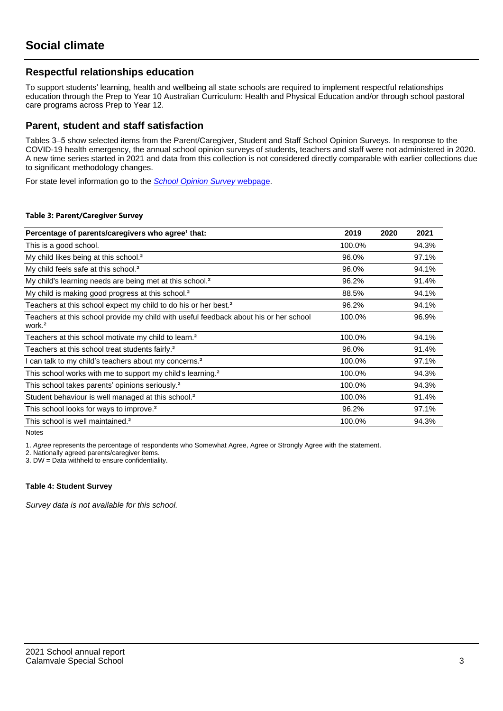#### **Respectful relationships education**

To support students' learning, health and wellbeing all state schools are required to implement respectful relationships education through the Prep to Year 10 Australian Curriculum: Health and Physical Education and/or through school pastoral care programs across Prep to Year 12.

#### **Parent, student and staff satisfaction**

Tables 3–5 show selected items from the Parent/Caregiver, Student and Staff School Opinion Surveys. In response to the COVID-19 health emergency, the annual school opinion surveys of students, teachers and staff were not administered in 2020. A new time series started in 2021 and data from this collection is not considered directly comparable with earlier collections due to significant methodology changes.

For state level information go to the **[School Opinion Survey](https://qed.qld.gov.au/publications/reports/statistics/schooling/schools/schoolopinionsurvey) webpage**.

#### **Table 3: Parent/Caregiver Survey**

| Percentage of parents/caregivers who agree <sup>1</sup> that:                                               | 2019   | 2020 | 2021  |
|-------------------------------------------------------------------------------------------------------------|--------|------|-------|
| This is a good school.                                                                                      | 100.0% |      | 94.3% |
| My child likes being at this school. <sup>2</sup>                                                           | 96.0%  |      | 97.1% |
| My child feels safe at this school. <sup>2</sup>                                                            | 96.0%  |      | 94.1% |
| My child's learning needs are being met at this school. <sup>2</sup>                                        | 96.2%  |      | 91.4% |
| My child is making good progress at this school. <sup>2</sup>                                               | 88.5%  |      | 94.1% |
| Teachers at this school expect my child to do his or her best. <sup>2</sup>                                 | 96.2%  |      | 94.1% |
| Teachers at this school provide my child with useful feedback about his or her school<br>work. <sup>2</sup> | 100.0% |      | 96.9% |
| Teachers at this school motivate my child to learn. <sup>2</sup>                                            | 100.0% |      | 94.1% |
| Teachers at this school treat students fairly. <sup>2</sup>                                                 | 96.0%  |      | 91.4% |
| I can talk to my child's teachers about my concerns. <sup>2</sup>                                           | 100.0% |      | 97.1% |
| This school works with me to support my child's learning. <sup>2</sup>                                      | 100.0% |      | 94.3% |
| This school takes parents' opinions seriously. <sup>2</sup>                                                 | 100.0% |      | 94.3% |
| Student behaviour is well managed at this school. <sup>2</sup>                                              | 100.0% |      | 91.4% |
| This school looks for ways to improve. <sup>2</sup>                                                         | 96.2%  |      | 97.1% |
| This school is well maintained. <sup>2</sup>                                                                | 100.0% |      | 94.3% |

Notes

1. Agree represents the percentage of respondents who Somewhat Agree, Agree or Strongly Agree with the statement.

2. Nationally agreed parents/caregiver items.

3. DW = Data withheld to ensure confidentiality.

#### **Table 4: Student Survey**

Survey data is not available for this school.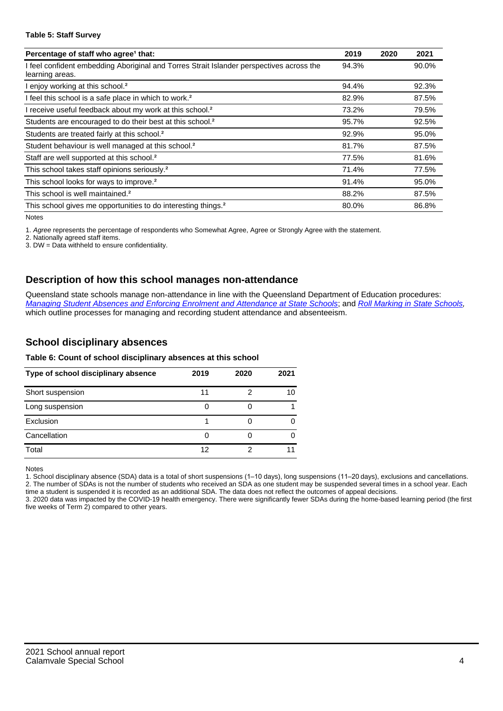#### **Table 5: Staff Survey**

| Percentage of staff who agree <sup>1</sup> that:                                                            | 2019  | 2020 | 2021  |
|-------------------------------------------------------------------------------------------------------------|-------|------|-------|
| I feel confident embedding Aboriginal and Torres Strait Islander perspectives across the<br>learning areas. | 94.3% |      | 90.0% |
| I enjoy working at this school. <sup>2</sup>                                                                | 94.4% |      | 92.3% |
| I feel this school is a safe place in which to work. <sup>2</sup>                                           | 82.9% |      | 87.5% |
| I receive useful feedback about my work at this school. <sup>2</sup>                                        | 73.2% |      | 79.5% |
| Students are encouraged to do their best at this school. <sup>2</sup>                                       | 95.7% |      | 92.5% |
| Students are treated fairly at this school. <sup>2</sup>                                                    | 92.9% |      | 95.0% |
| Student behaviour is well managed at this school. <sup>2</sup>                                              | 81.7% |      | 87.5% |
| Staff are well supported at this school. <sup>2</sup>                                                       | 77.5% |      | 81.6% |
| This school takes staff opinions seriously. <sup>2</sup>                                                    | 71.4% |      | 77.5% |
| This school looks for ways to improve. <sup>2</sup>                                                         | 91.4% |      | 95.0% |
| This school is well maintained. <sup>2</sup>                                                                | 88.2% |      | 87.5% |
| This school gives me opportunities to do interesting things. <sup>2</sup>                                   | 80.0% |      | 86.8% |

Notes

1. Agree represents the percentage of respondents who Somewhat Agree, Agree or Strongly Agree with the statement.

2. Nationally agreed staff items.

3. DW = Data withheld to ensure confidentiality.

#### **Description of how this school manages non-attendance**

Queensland state schools manage non-attendance in line with the Queensland Department of Education procedures: [Managing Student Absences and Enforcing Enrolment and Attendance at State Schools](https://ppr.qed.qld.gov.au/pp/managing-student-absences-and-enforcing-enrolment-and-attendance-at-state-schools-procedure); and [Roll Marking in State Schools,](https://ppr.qed.qld.gov.au/pp/roll-marking-in-state-schools-procedure) which outline processes for managing and recording student attendance and absenteeism.

#### **School disciplinary absences**

#### **Table 6: Count of school disciplinary absences at this school**

| Type of school disciplinary absence | 2019 | 2020 | 2021 |
|-------------------------------------|------|------|------|
| Short suspension                    | 11   |      | 10   |
| Long suspension                     |      |      |      |
| Exclusion                           |      |      |      |
| Cancellation                        |      |      |      |
| Total                               | 12   |      |      |

Notes

1. School disciplinary absence (SDA) data is a total of short suspensions (1–10 days), long suspensions (11–20 days), exclusions and cancellations. 2. The number of SDAs is not the number of students who received an SDA as one student may be suspended several times in a school year. Each time a student is suspended it is recorded as an additional SDA. The data does not reflect the outcomes of appeal decisions.

3. 2020 data was impacted by the COVID-19 health emergency. There were significantly fewer SDAs during the home-based learning period (the first five weeks of Term 2) compared to other years.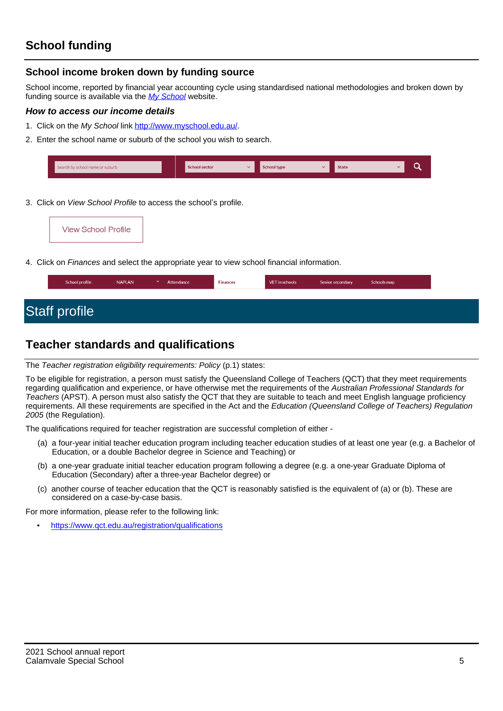### **School income broken down by funding source**

School income, reported by financial year accounting cycle using standardised national methodologies and broken down by funding source is available via the [My School](http://www.myschool.edu.au/) website.

#### **How to access our income details**

- 1. Click on the My School link <http://www.myschool.edu.au/>.
- 2. Enter the school name or suburb of the school you wish to search.

| Search by school name or suburb | <b>School sector</b> | w | <b>School type</b> | <b>State</b> |  |
|---------------------------------|----------------------|---|--------------------|--------------|--|
|                                 |                      |   |                    |              |  |

3. Click on *View School Profile* to access the school's profile.

4. Click on Finances and select the appropriate year to view school financial information.

| School profile       | <b>NAPLAN</b> | $\checkmark$ | Attendance | <b>Finances</b> | VET in schools | Senior secondary | Schools map |
|----------------------|---------------|--------------|------------|-----------------|----------------|------------------|-------------|
|                      |               |              |            |                 |                |                  |             |
| <b>Staff profile</b> |               |              |            |                 |                |                  |             |

# **Teacher standards and qualifications**

The Teacher registration eligibility requirements: Policy (p.1) states:

To be eligible for registration, a person must satisfy the Queensland College of Teachers (QCT) that they meet requirements regarding qualification and experience, or have otherwise met the requirements of the Australian Professional Standards for Teachers (APST). A person must also satisfy the QCT that they are suitable to teach and meet English language proficiency requirements. All these requirements are specified in the Act and the Education (Queensland College of Teachers) Regulation 2005 (the Regulation).

The qualifications required for teacher registration are successful completion of either -

- (a) a four-year initial teacher education program including teacher education studies of at least one year (e.g. a Bachelor of Education, or a double Bachelor degree in Science and Teaching) or
- (b) a one-year graduate initial teacher education program following a degree (e.g. a one-year Graduate Diploma of Education (Secondary) after a three-year Bachelor degree) or
- (c) another course of teacher education that the QCT is reasonably satisfied is the equivalent of (a) or (b). These are considered on a case-by-case basis.

For more information, please refer to the following link:

• <https://www.qct.edu.au/registration/qualifications>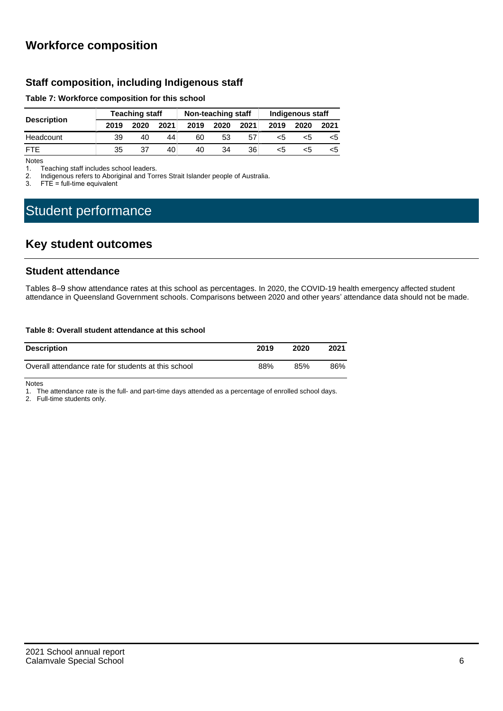# **Workforce composition**

### **Staff composition, including Indigenous staff**

#### **Table 7: Workforce composition for this school**

| <b>Description</b> | <b>Teaching staff</b> |      |      | Non-teaching staff |      |      | Indigenous staff |      |      |
|--------------------|-----------------------|------|------|--------------------|------|------|------------------|------|------|
|                    | 2019                  | 2020 | 2021 | 2019               | 2020 | 2021 | 2019             | 2020 | 2021 |
| Headcount          | 39                    | 40   | 44   | 60                 | 53   | 57   | <5               | כ>   |      |
| FTF                | 35                    | 37   | 40   | 40                 | 34   | 36   | <5               |      | <5   |

Notes<br>1. T

1. Teaching staff includes school leaders.<br>2. Indigenous refers to Aboriginal and Tor

2. Indigenous refers to Aboriginal and Torres Strait Islander people of Australia.<br>3. FTE = full-time equivalent

 $FTE = full-time equivalent$ 

# Student performance

# **Key student outcomes**

#### **Student attendance**

Tables 8–9 show attendance rates at this school as percentages. In 2020, the COVID-19 health emergency affected student attendance in Queensland Government schools. Comparisons between 2020 and other years' attendance data should not be made.

#### **Table 8: Overall student attendance at this school**

| <b>Description</b>                                  | 2019 | 2020 | 2021 |
|-----------------------------------------------------|------|------|------|
| Overall attendance rate for students at this school | 88%  | 85%  | 86%  |

Notes

1. The attendance rate is the full- and part-time days attended as a percentage of enrolled school days.

2. Full-time students only.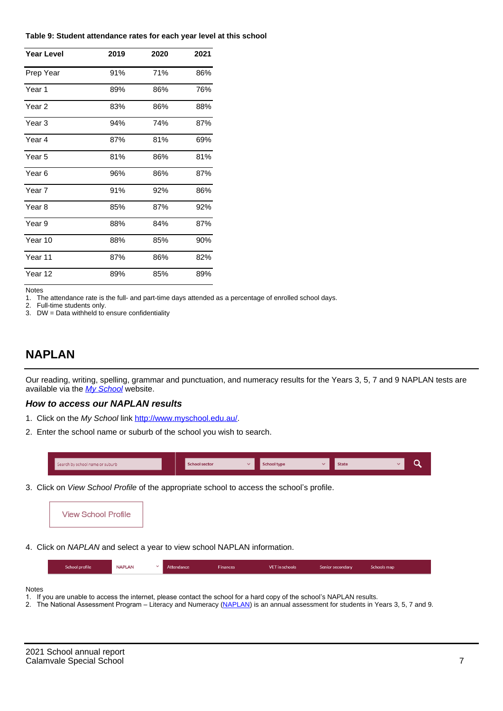#### **Table 9: Student attendance rates for each year level at this school**

| <b>Year Level</b> | 2019 | 2020 | 2021 |
|-------------------|------|------|------|
| Prep Year         | 91%  | 71%  | 86%  |
| Year <sub>1</sub> | 89%  | 86%  | 76%  |
| Year 2            | 83%  | 86%  | 88%  |
| Year 3            | 94%  | 74%  | 87%  |
| Year 4            | 87%  | 81%  | 69%  |
| Year <sub>5</sub> | 81%  | 86%  | 81%  |
| Year 6            | 96%  | 86%  | 87%  |
| Year 7            | 91%  | 92%  | 86%  |
| Year <sub>8</sub> | 85%  | 87%  | 92%  |
| Year 9            | 88%  | 84%  | 87%  |
| Year 10           | 88%  | 85%  | 90%  |
| Year 11           | 87%  | 86%  | 82%  |
| Year 12           | 89%  | 85%  | 89%  |

Notes

1. The attendance rate is the full- and part-time days attended as a percentage of enrolled school days.<br>2. Full-time students only.

Full-time students only.

3. DW = Data withheld to ensure confidentiality

## **NAPLAN**

Our reading, writing, spelling, grammar and punctuation, and numeracy results for the Years 3, 5, 7 and 9 NAPLAN tests are available via the [My School](http://www.myschool.edu.au/) website.

#### **How to access our NAPLAN results**

- 1. Click on the My School link <http://www.myschool.edu.au/>.
- 2. Enter the school name or suburb of the school you wish to search.

| Search by school name or suburb | <b>School sector</b> | school type | <b>State</b> |  |
|---------------------------------|----------------------|-------------|--------------|--|
|                                 |                      |             |              |  |

3. Click on View School Profile of the appropriate school to access the school's profile.



4. Click on NAPLAN and select a year to view school NAPLAN information.

|  |  | School profile | <b>NAPLAN</b> |  | Attendance | Finances | VET in schools | Senior secondary | Schools map |  |
|--|--|----------------|---------------|--|------------|----------|----------------|------------------|-------------|--|
|--|--|----------------|---------------|--|------------|----------|----------------|------------------|-------------|--|

#### Notes

- 1. If you are unable to access the internet, please contact the school for a hard copy of the school's NAPLAN results.
- 2. The National Assessment Program Literacy and Numeracy ([NAPLAN\)](http://www.nap.edu.au/naplan) is an annual assessment for students in Years 3, 5, 7 and 9.